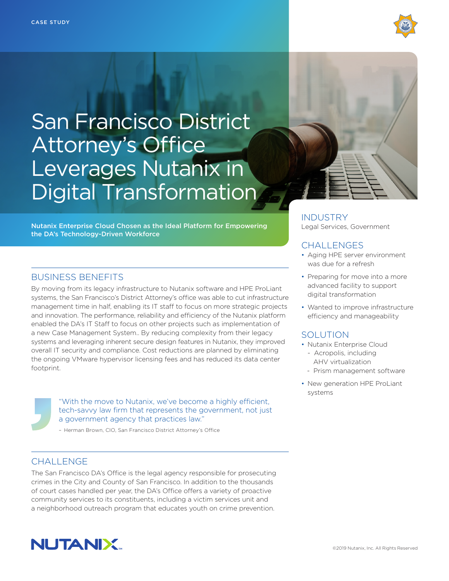

# San Francisco District Attorney's Office Leverages Nutanix in Digital Transformation

Nutanix Enterprise Cloud Chosen as the Ideal Platform for Empowering the DA's Technology-Driven Workforce

# BUSINESS BENEFITS

By moving from its legacy infrastructure to Nutanix software and HPE ProLiant systems, the San Francisco's District Attorney's office was able to cut infrastructure management time in half, enabling its IT staff to focus on more strategic projects and innovation. The performance, reliability and efficiency of the Nutanix platform enabled the DA's IT Staff to focus on other projects such as implementation of a new Case Management System.. By reducing complexity from their legacy systems and leveraging inherent secure design features in Nutanix, they improved overall IT security and compliance. Cost reductions are planned by eliminating the ongoing VMware hypervisor licensing fees and has reduced its data center footprint.

> "With the move to Nutanix, we've become a highly efficient, tech-savvy law firm that represents the government, not just a government agency that practices law."

– Herman Brown, CIO, San Francisco District Attorney's Office

## CHALL FNGF

The San Francisco DA's Office is the legal agency responsible for prosecuting crimes in the City and County of San Francisco. In addition to the thousands of court cases handled per year, the DA's Office offers a variety of proactive community services to its constituents, including a victim services unit and a neighborhood outreach program that educates youth on crime prevention.





INDUSTRY Legal Services, Government

## **CHALLENGES**

- Aging HPE server environment was due for a refresh
- Preparing for move into a more advanced facility to support digital transformation
- Wanted to improve infrastructure efficiency and manageability

# **SOLUTION**

- Nutanix Enterprise Cloud
- Acropolis, including AHV virtualization
- Prism management software
- New generation HPE ProLiant systems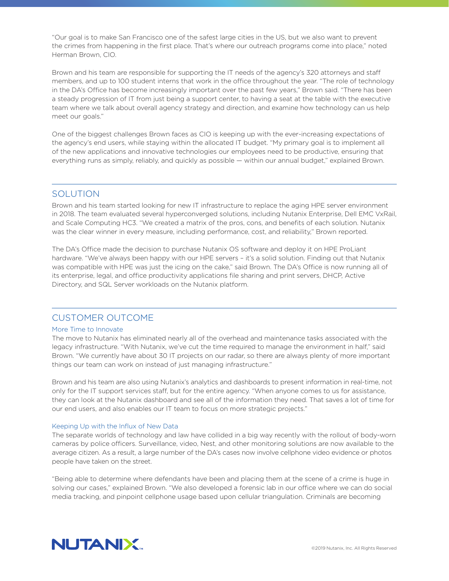"Our goal is to make San Francisco one of the safest large cities in the US, but we also want to prevent the crimes from happening in the first place. That's where our outreach programs come into place," noted Herman Brown, CIO.

Brown and his team are responsible for supporting the IT needs of the agency's 320 attorneys and staff members, and up to 100 student interns that work in the office throughout the year. "The role of technology in the DA's Office has become increasingly important over the past few years," Brown said. "There has been a steady progression of IT from just being a support center, to having a seat at the table with the executive team where we talk about overall agency strategy and direction, and examine how technology can us help meet our goals."

One of the biggest challenges Brown faces as CIO is keeping up with the ever-increasing expectations of the agency's end users, while staying within the allocated IT budget. "My primary goal is to implement all of the new applications and innovative technologies our employees need to be productive, ensuring that everything runs as simply, reliably, and quickly as possible — within our annual budget," explained Brown.

## **SOLUTION**

Brown and his team started looking for new IT infrastructure to replace the aging HPE server environment in 2018. The team evaluated several hyperconverged solutions, including Nutanix Enterprise, Dell EMC VxRail, and Scale Computing HC3. "We created a matrix of the pros, cons, and benefits of each solution. Nutanix was the clear winner in every measure, including performance, cost, and reliability," Brown reported.

The DA's Office made the decision to purchase Nutanix OS software and deploy it on HPE ProLiant hardware. "We've always been happy with our HPE servers - it's a solid solution. Finding out that Nutanix was compatible with HPE was just the icing on the cake," said Brown. The DA's Office is now running all of its enterprise, legal, and office productivity applications file sharing and print servers, DHCP, Active Directory, and SQL Server workloads on the Nutanix platform.

## CUSTOMER OUTCOME

#### More Time to Innovate

The move to Nutanix has eliminated nearly all of the overhead and maintenance tasks associated with the legacy infrastructure. "With Nutanix, we've cut the time required to manage the environment in half," said Brown. "We currently have about 30 IT projects on our radar, so there are always plenty of more important things our team can work on instead of just managing infrastructure."

Brown and his team are also using Nutanix's analytics and dashboards to present information in real-time, not only for the IT support services staff, but for the entire agency. "When anyone comes to us for assistance, they can look at the Nutanix dashboard and see all of the information they need. That saves a lot of time for our end users, and also enables our IT team to focus on more strategic projects."

#### Keeping Up with the Influx of New Data

The separate worlds of technology and law have collided in a big way recently with the rollout of body-worn cameras by police officers. Surveillance, video, Nest, and other monitoring solutions are now available to the average citizen. As a result, a large number of the DA's cases now involve cellphone video evidence or photos people have taken on the street.

"Being able to determine where defendants have been and placing them at the scene of a crime is huge in solving our cases," explained Brown. "We also developed a forensic lab in our office where we can do social media tracking, and pinpoint cellphone usage based upon cellular triangulation. Criminals are becoming

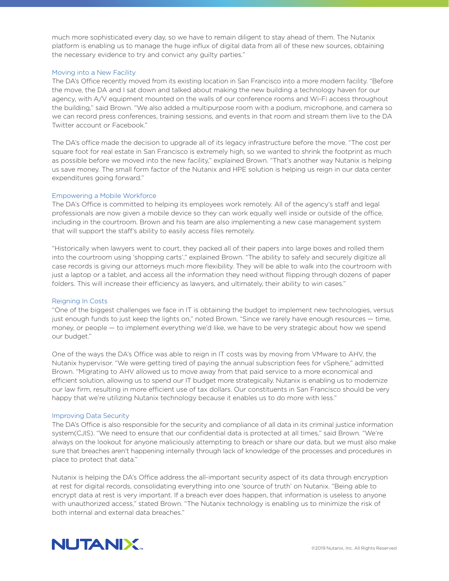much more sophisticated every day, so we have to remain diligent to stay ahead of them. The Nutanix platform is enabling us to manage the huge influx of digital data from all of these new sources, obtaining the necessary evidence to try and convict any guilty parties."

#### Moving into a New Facility

The DA's Office recently moved from its existing location in San Francisco into a more modern facility. "Before the move, the DA and I sat down and talked about making the new building a technology haven for our agency, with A/V equipment mounted on the walls of our conference rooms and Wi-Fi access throughout the building," said Brown. "We also added a multipurpose room with a podium, microphone, and camera so we can record press conferences, training sessions, and events in that room and stream them live to the DA Twitter account or Facebook."

The DA's office made the decision to upgrade all of its legacy infrastructure before the move. "The cost per square foot for real estate in San Francisco is extremely high, so we wanted to shrink the footprint as much as possible before we moved into the new facility," explained Brown. "That's another way Nutanix is helping us save money. The small form factor of the Nutanix and HPE solution is helping us reign in our data center expenditures going forward."

#### Empowering a Mobile Workforce

The DA's Office is committed to helping its employees work remotely. All of the agency's staff and legal professionals are now given a mobile device so they can work equally well inside or outside of the office, including in the courtroom. Brown and his team are also implementing a new case management system that will support the staff's ability to easily access files remotely.

"Historically when lawyers went to court, they packed all of their papers into large boxes and rolled them into the courtroom using 'shopping carts'," explained Brown. "The ability to safely and securely digitize all case records is giving our attorneys much more flexibility. They will be able to walk into the courtroom with just a laptop or a tablet, and access all the information they need without flipping through dozens of paper folders. This will increase their efficiency as lawyers, and ultimately, their ability to win cases."

#### Reigning In Costs

"One of the biggest challenges we face in IT is obtaining the budget to implement new technologies, versus just enough funds to just keep the lights on," noted Brown. "Since we rarely have enough resources — time, money, or people — to implement everything we'd like, we have to be very strategic about how we spend our budget."

One of the ways the DA's Office was able to reign in IT costs was by moving from VMware to AHV, the Nutanix hypervisor. "We were getting tired of paying the annual subscription fees for vSphere," admitted Brown. "Migrating to AHV allowed us to move away from that paid service to a more economical and efficient solution, allowing us to spend our IT budget more strategically. Nutanix is enabling us to modernize our law firm, resulting in more efficient use of tax dollars. Our constituents in San Francisco should be very happy that we're utilizing Nutanix technology because it enables us to do more with less."

#### Improving Data Security

The DA's Office is also responsible for the security and compliance of all data in its criminal justice information system(CJIS). "We need to ensure that our confidential data is protected at all times," said Brown. "We're always on the lookout for anyone maliciously attempting to breach or share our data, but we must also make sure that breaches aren't happening internally through lack of knowledge of the processes and procedures in place to protect that data."

Nutanix is helping the DA's Office address the all-important security aspect of its data through encryption at rest for digital records, consolidating everything into one 'source of truth' on Nutanix. "Being able to encrypt data at rest is very important. If a breach ever does happen, that information is useless to anyone with unauthorized access," stated Brown. "The Nutanix technology is enabling us to minimize the risk of both internal and external data breaches."